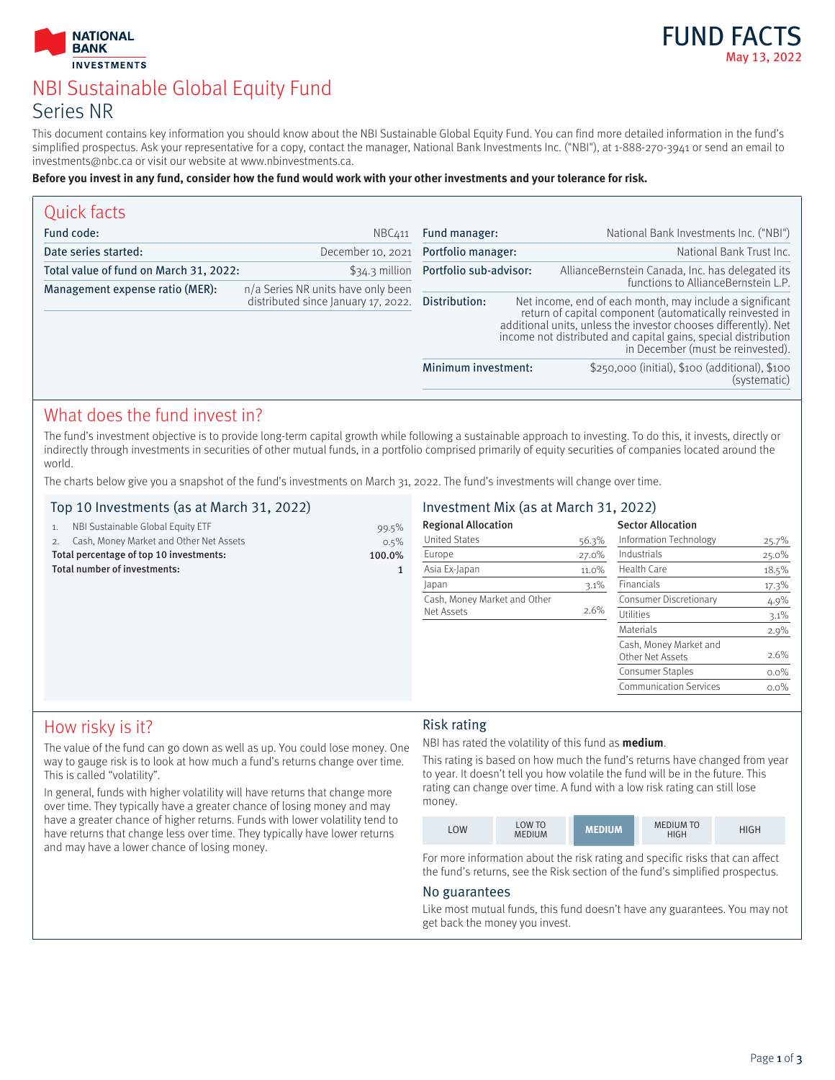



# NBI Sustainable Global Equity Fund Series NR

This document contains key information you should know about the NBI Sustainable Global Equity Fund. You can find more detailed information in the fund's simplified prospectus. Ask your representative for a copy, contact the manager, National Bank Investments Inc. ("NBI"), at 1-888-270-3941 or send an email to investments@nbc.ca or visit our website at www.nbinvestments.ca.

#### **Before you invest in any fund, consider how the fund would work with your other investments and your tolerance for risk.**

| Quick facts                            |                                                                           |                                       |                                                                                                                                                                                                                                                                                                                                       |                                                                |
|----------------------------------------|---------------------------------------------------------------------------|---------------------------------------|---------------------------------------------------------------------------------------------------------------------------------------------------------------------------------------------------------------------------------------------------------------------------------------------------------------------------------------|----------------------------------------------------------------|
| Fund code:                             | NBC411                                                                    | Fund manager:                         |                                                                                                                                                                                                                                                                                                                                       | National Bank Investments Inc. ("NBI")                         |
| Date series started:                   | December 10, 2021 Portfolio manager:                                      |                                       |                                                                                                                                                                                                                                                                                                                                       | National Bank Trust Inc.                                       |
| Total value of fund on March 31, 2022: |                                                                           | \$34.3 million Portfolio sub-advisor: |                                                                                                                                                                                                                                                                                                                                       | AllianceBernstein Canada, Inc. has delegated its               |
| Management expense ratio (MER):        | n/a Series NR units have only been<br>distributed since January 17, 2022. | Distribution:                         | functions to AllianceBernstein L.P.<br>Net income, end of each month, may include a significant<br>return of capital component (automatically reinvested in<br>additional units, unless the investor chooses differently). Net<br>income not distributed and capital gains, special distribution<br>in December (must be reinvested). |                                                                |
|                                        |                                                                           | Minimum investment:                   |                                                                                                                                                                                                                                                                                                                                       | \$250,000 (initial), \$100 (additional), \$100<br>(systematic) |

## What does the fund invest in?

The fund's investment objective is to provide long-term capital growth while following a sustainable approach to investing. To do this, it invests, directly or indirectly through investments in securities of other mutual funds, in a portfolio comprised primarily of equity securities of companies located around the world.

The charts below give you a snapshot of the fund's investments on March 31, 2022. The fund's investments will change over time.

#### Top 10 Investments (as at March 31, 2022)

|                                                   | NBI Sustainable Global Equity ETF          | 99.5%   |  |
|---------------------------------------------------|--------------------------------------------|---------|--|
|                                                   | 2. Cash, Money Market and Other Net Assets | $0.5\%$ |  |
| Total percentage of top 10 investments:<br>100.0% |                                            |         |  |
|                                                   | Total number of investments:               |         |  |

#### Investment Mix (as at March 31, 2022)

| <b>Regional Allocation</b>   |         | <b>Sector Allocation</b>                   |         |
|------------------------------|---------|--------------------------------------------|---------|
| <b>United States</b>         | 56.3%   | Information Technology                     | 25.7%   |
| Europe                       | 27.0%   | Industrials                                | 25.0%   |
| Asia Ex-Japan                | 11.0%   | Health Care                                | 18.5%   |
| Japan                        | $3.1\%$ | <b>Financials</b>                          | 17.3%   |
| Cash, Money Market and Other |         | Consumer Discretionary                     | 4.9%    |
| Net Assets                   | 2.6%    | Utilities                                  | 3.1%    |
|                              |         | Materials                                  | 2.9%    |
|                              |         | Cash, Money Market and<br>Other Net Assets | 2.6%    |
|                              |         | Consumer Staples                           | $0.0\%$ |
|                              |         | <b>Communication Services</b>              | $0.0\%$ |
|                              |         |                                            |         |

## How risky is it?

The value of the fund can go down as well as up. You could lose money. One way to gauge risk is to look at how much a fund's returns change over time. This is called "volatility".

In general, funds with higher volatility will have returns that change more over time. They typically have a greater chance of losing money and may have a greater chance of higher returns. Funds with lower volatility tend to have returns that change less over time. They typically have lower returns and may have a lower chance of losing money.

#### Risk rating

NBI has rated the volatility of this fund as **medium**.

This rating is based on how much the fund's returns have changed from year to year. It doesn't tell you how volatile the fund will be in the future. This rating can change over time. A fund with a low risk rating can still lose money.

| LOW | LOW TO<br><b>MEDIUM</b> | <b>MEDIUM</b> | <b>MEDIUM TO</b><br><b>HIGH</b> | <b>HIGH</b> |
|-----|-------------------------|---------------|---------------------------------|-------------|
|-----|-------------------------|---------------|---------------------------------|-------------|

For more information about the risk rating and specific risks that can affect the fund's returns, see the Risk section of the fund's simplified prospectus.

#### No guarantees

Like most mutual funds, this fund doesn't have any guarantees. You may not get back the money you invest.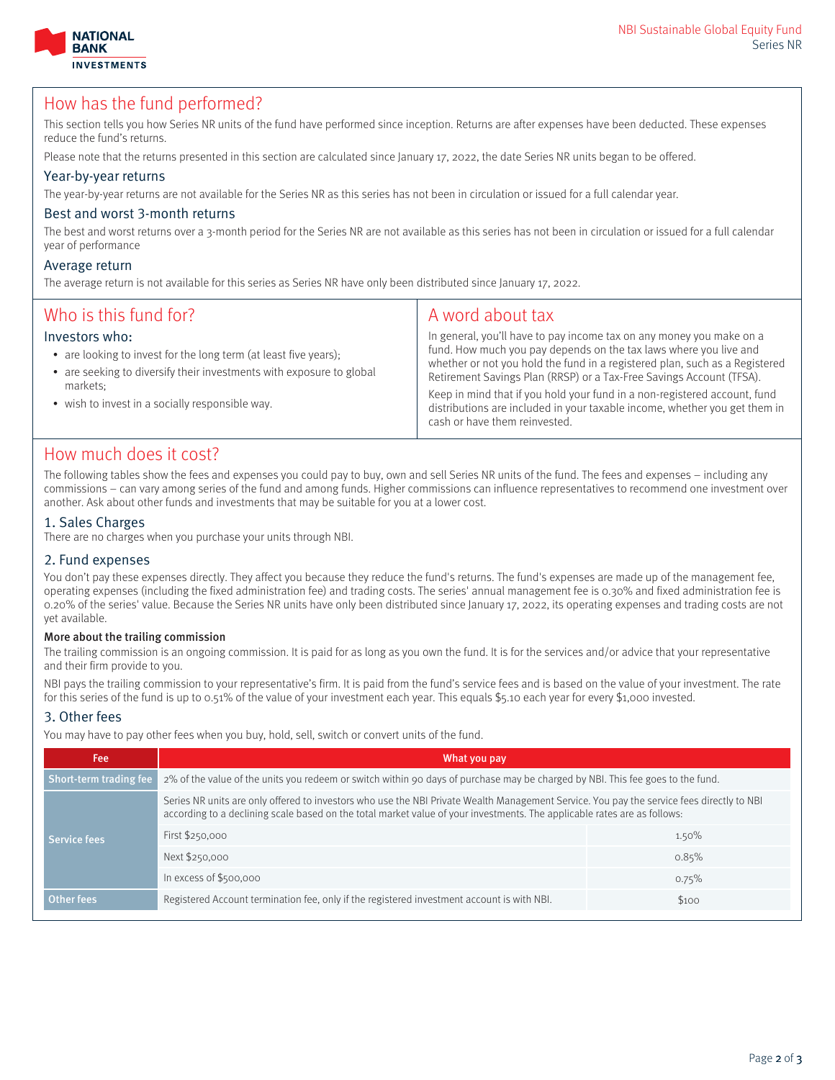



### How has the fund performed?

This section tells you how Series NR units of the fund have performed since inception. Returns are after expenses have been deducted. These expenses reduce the fund's returns.

Please note that the returns presented in this section are calculated since January 17, 2022, the date Series NR units began to be offered.

#### Year-by-year returns

The year-by-year returns are not available for the Series NR as this series has not been in circulation or issued for a full calendar year.

#### Best and worst 3-month returns

The best and worst returns over a 3-month period for the Series NR are not available as this series has not been in circulation or issued for a full calendar year of performance

#### Average return

The average return is not available for this series as Series NR have only been distributed since January 17, 2022.

| Who is this fund for?<br>Investors who:<br>• are looking to invest for the long term (at least five years);<br>• are seeking to diversify their investments with exposure to global<br>markets:<br>• wish to invest in a socially responsible way. | A word about tax<br>In general, you'll have to pay income tax on any money you make on a<br>fund. How much you pay depends on the tax laws where you live and<br>whether or not you hold the fund in a registered plan, such as a Registered<br>Retirement Savings Plan (RRSP) or a Tax-Free Savings Account (TFSA).<br>Keep in mind that if you hold your fund in a non-registered account, fund<br>distributions are included in your taxable income, whether you get them in<br>cash or have them reinvested. |
|----------------------------------------------------------------------------------------------------------------------------------------------------------------------------------------------------------------------------------------------------|------------------------------------------------------------------------------------------------------------------------------------------------------------------------------------------------------------------------------------------------------------------------------------------------------------------------------------------------------------------------------------------------------------------------------------------------------------------------------------------------------------------|
|----------------------------------------------------------------------------------------------------------------------------------------------------------------------------------------------------------------------------------------------------|------------------------------------------------------------------------------------------------------------------------------------------------------------------------------------------------------------------------------------------------------------------------------------------------------------------------------------------------------------------------------------------------------------------------------------------------------------------------------------------------------------------|

## How much does it cost?

The following tables show the fees and expenses you could pay to buy, own and sell Series NR units of the fund. The fees and expenses – including any commissions – can vary among series of the fund and among funds. Higher commissions can influence representatives to recommend one investment over another. Ask about other funds and investments that may be suitable for you at a lower cost.

#### 1. Sales Charges

There are no charges when you purchase your units through NBI.

#### 2. Fund expenses

You don't pay these expenses directly. They affect you because they reduce the fund's returns. The fund's expenses are made up of the management fee, operating expenses (including the fixed administration fee) and trading costs. The series' annual management fee is 0.30% and fixed administration fee is 0.20% of the series' value. Because the Series NR units have only been distributed since January 17, 2022, its operating expenses and trading costs are not yet available.

#### More about the trailing commission

The trailing commission is an ongoing commission. It is paid for as long as you own the fund. It is for the services and/or advice that your representative and their firm provide to you.

NBI pays the trailing commission to your representative's firm. It is paid from the fund's service fees and is based on the value of your investment. The rate for this series of the fund is up to 0.51% of the value of your investment each year. This equals \$5.10 each year for every \$1,000 invested.

#### 3. Other fees

You may have to pay other fees when you buy, hold, sell, switch or convert units of the fund.

| What you pay                                                                                                                                                                                                                                                          |       |  |
|-----------------------------------------------------------------------------------------------------------------------------------------------------------------------------------------------------------------------------------------------------------------------|-------|--|
| 2% of the value of the units you redeem or switch within 90 days of purchase may be charged by NBI. This fee goes to the fund.<br>Short-term trading fee                                                                                                              |       |  |
| Series NR units are only offered to investors who use the NBI Private Wealth Management Service. You pay the service fees directly to NBI<br>according to a declining scale based on the total market value of your investments. The applicable rates are as follows: |       |  |
| First \$250,000                                                                                                                                                                                                                                                       | 1.50% |  |
| Next \$250,000                                                                                                                                                                                                                                                        | 0.85% |  |
| In excess of \$500,000                                                                                                                                                                                                                                                | 0.75% |  |
| Registered Account termination fee, only if the registered investment account is with NBI.                                                                                                                                                                            | \$100 |  |
|                                                                                                                                                                                                                                                                       |       |  |